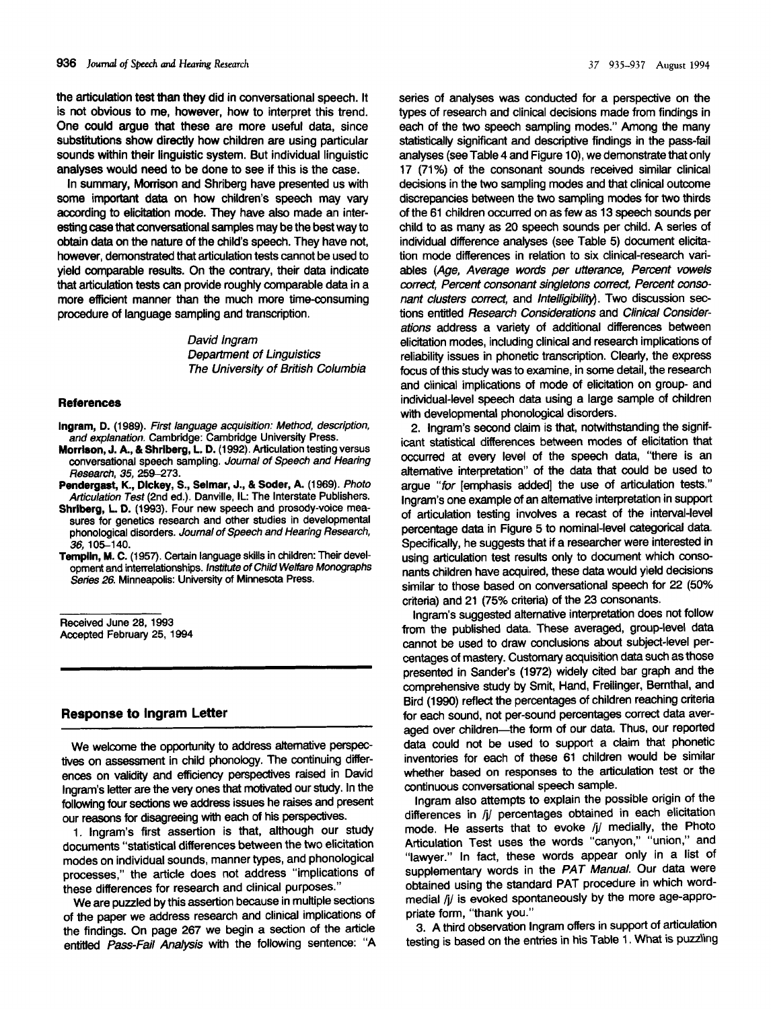the articulation **test** than **they did** in conversational speech. It is not obvious to me, however, how to interpret this trend. One could argue **that these** are more useful data, since substitutions show directly how children are using particular sounds within their linguistic system. But individual linguistic analyses would need to be done to see if this is the case.

In summary, Morrison and Shriberg have presented us with some important data on how children's speech may vary according to elicitation mode. They have also made an interesting case that conversational samples may be the best way to obtain data on the nature of the child's speech. They have not, however, demonstrated that articulation tests cannot be used to yield comparable results. On the contrary, their data indicate that articulation tests can provide roughly comparable data in a more efficient manner than the much more time-consuming procedure of language sampling and transcription.

> David Ingram Department of Linguistics The University of British Columbia

#### **References**

- **Ingram,** D. (1989). First language acquisition: Method, description, and explanation. Cambridge: Cambridge University Press.
- **Morrison, J. A., & Shrlberg, L. D. (1992).** Articulation testing versus conversational speech sampling. Journal of Speech and Hearing Research, 35, 259-273.
- **Pendergast, K., Dlckey, S., Selmar, J., & Soder, A. (1969).** Photo Articulation Test (2nd ed.). Danville, IL: The Interstate Publishers.
- **Shrlberg,** L D. **(1993).** Four new speech and prosody-voice measures for genetics research and other studies in developmental phonological disorders. Journal of Speech and Hearing *Research,* 36, 105-140.
- Templin, M. C. (1957). Certain language skills in children: Their development and interrelationships. Institute of Child Wefare Monographs Series 26. Minneapolis: University of Minnesota Press.

Received June 28,1993 Accepted February 25, 1994

### **Response to Ingram Letter**

We welcome the opportunity to address alternative perspectives on assessment in child phonology. The continuing differences on validity and efficiency perspectives raised in David Ingram's letter are the very ones that motivated our study. In the following four sections we address issues he raises and present our reasons for disagreeing with each of his perspectives.

1. Ingram's first assertion is that, although our study documents "statistical differences between the two elicitation modes on individual sounds, manner types, and phonological processes," the article does not address "implications of these differences for research and clinical purposes."

We are puzzled by this assertion because in multiple sections of the paper we address research and clinical implications of the findings. On page 267 we begin a section of the article entitled Pass-Fail Analysis with the following sentence: "A series of analyses was conducted for a perspective on the types of research and clinical decisions made from findings in each of the two speech sampling modes." Among the many statistically significant and descriptive findings in the pass-fail analyses (see Table 4 and Figure 10), we demonstrate that only 17 (71%) of the consonant sounds received similar clinical decisions in the two sampling modes and that clinical outcome discrepancies between the two sampling modes for two thirds of the 61 children occurred on as few as 13 speech sounds per child to as many as 20 speech sounds per child. A series of individual difference analyses (see Table 5) document elicitation mode differences in relation to six clinical-research variables (Age, Average words per utterance, Percent vowels correct, Percent consonant singletons correct, Percent consonant clusters correct, and Intelligibility). Two discussion sections entitled Research Considerations and Clinical Considerations address a variety of additional differences between elicitation modes, including clinical and research implications of reliability issues in phonetic transcription. Clearly, the express focus of this study was to examine, in some detail, the research and clinical implications of mode of elicitation on group- and individual-level speech data using a large sample of children with developmental phonological disorders.

2. Ingram's second claim is that, notwithstanding the significant statistical differences between modes of elicitation that occurred at every level of the speech data, "there is an alternative interpretation" of the data that could be used to arque "for [emphasis added] the use of articulation tests." Ingram's one example of an alternative interpretation in support of articulation testing involves a recast of the interval-level percentage data in Figure 5 to nominal-level categorical data. Specifically, he suggests that if a researcher were interested in using articulation test results only to document which consonants children have acquired, these data would yield decisions similar to those based on conversational speech for 22 (50% criteria) and 21 (75% criteria) of the 23 consonants.

Ingram's suggested alternative interpretation does not follow from the published data. These averaged, group-level data cannot be used to draw conclusions about subject-level percentages of mastery. Customary acquisition data such as those presented in Sander's (1972) widely cited bar graph and the comprehensive study by Smit, Hand, Freilinger, Bernthal, and Bird (1990) reflect the percentages of children reaching criteria for each sound, not per-sound percentages correct data averaged over children-the form of our data. Thus, our reported data could not be used to support a claim that phonetic inventories for each of these 61 children would be similar whether based on responses to the articulation test or the continuous conversational speech sample.

Ingram also attempts to explain the possible origin of the differences in /j/ percentages obtained in each elicitation mode. He asserts that to evoke /j/ medially, the Photo Articulation Test uses the words "canyon," "union," and "lawyer." In fact, these words appear only in a list of supplementary words in the PAT Manual. Our data were obtained using the standard PAT procedure in which wordmedial /j/ is evoked spontaneously by the more age-appropriate form, "thank you."

3. A third observation Ingram offers in support of articulation testing is based on the entries in his Table 1. What is puzzling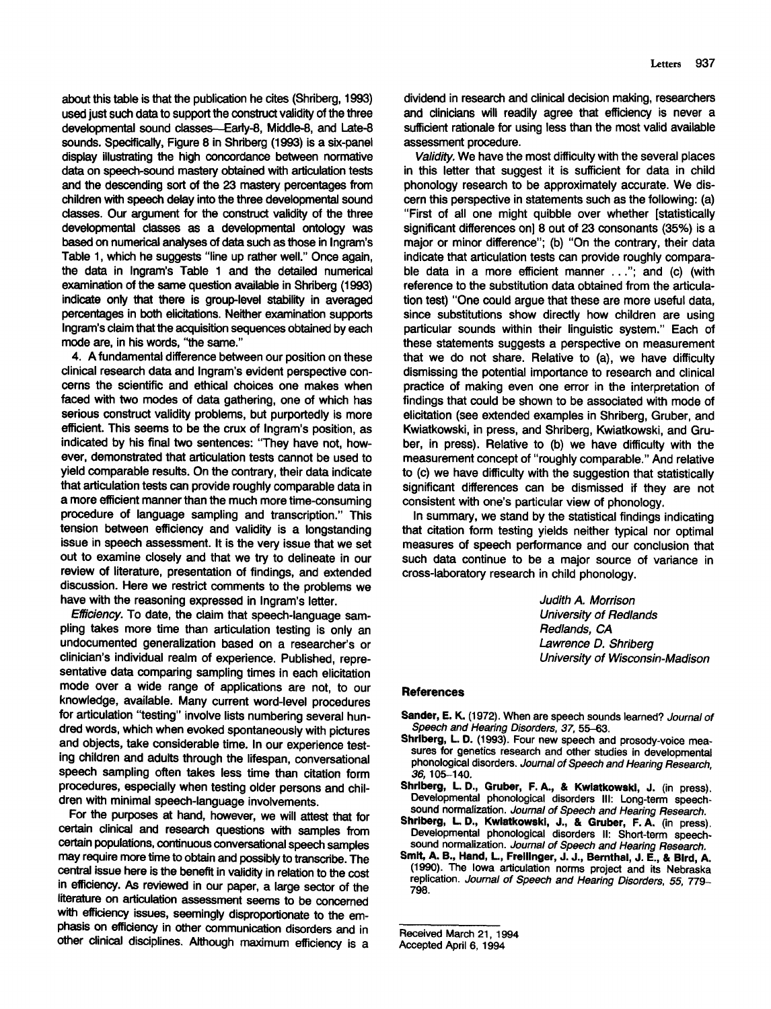about this table is that the publication he cites (Shriberg, 1993) used just such data to support the construct validity of the three developmental sound classes-Early-8, Middle-8, and Late-8 sounds. Specifically, Figure 8 in Shriberg (1993) is a six-panel display illustrating the high concordance between normative data on speech-sound mastery obtained with articulation tests and the descending sort of the 23 mastery percentages from children with speech delay into the three developmental sound classes. Our argument for the construct validity of the three developmental classes as a developmental ontology was based on numerical analyses of data such as those in Ingram's Table 1, which he suggests "line up rather well." Once again, the data in Ingram's Table 1 and the detailed numerical examination of the same question available in Shriberg (1993) indicate only that there is group-level stability in averaged percentages in both elicitations. Neither examination supports Ingram's claim that the acquisition sequences obtained by each mode are, in his words, "the same."

4. Afundamental difference between our position on these clinical research data and Ingram's evident perspective concerns the scientific and ethical choices one makes when faced with two modes of data gathering, one of which has serious construct validity problems, but purportedly is more efficient. This seems to be the crux of Ingram's position, as indicated by his final two sentences: "They have not, however, demonstrated that articulation tests cannot be used to yield comparable results. On the contrary, their data indicate that articulation tests can provide roughly comparable data in a more efficient manner than the much more time-consuming procedure of language sampling and transcription." This tension between efficiency and validity is a longstanding issue in speech assessment. It is the very issue that we set out to examine closely and that we try to delineate in our review of literature, presentation of findings, and extended discussion. Here we restrict comments to the problems we have with the reasoning expressed in Ingram's letter.

Efficiency. To date, the claim that speech-language sampling takes more time than articulation testing is only an undocumented generalization based on a researcher's or clinician's individual realm of experience. Published, representative data comparing sampling times in each elicitation mode over a wide range of applications are not, to our knowledge, available. Many current word-level procedures for articulation "testing" involve lists numbering several hundred words, which when evoked spontaneously with pictures and objects, take considerable time. In our experience testing children and adults through the lifespan, conversational speech sampling often takes less time than citation form procedures, especially when testing older persons and children with minimal speech-language involvements.

For the purposes at hand, however, we will attest that for certain clinical and research questions with samples from certain populations, continuous conversational speech samples may require more time to obtain and possibly to transcribe. The central issue here is the benefit in validity in relation to the cost in efficiency. As reviewed in our paper, a large sector of the literature on articulation assessment seems to be concerned with efficiency issues, seemingly disproportionate to the emphasis on efficiency in other communication disorders and in other clinical disciplines. Although maximum efficiency is a

dividend in research and clinical decision making, researchers and clinicians will readily agree that efficiency is never a sufficient rationale for using less than the most valid available assessment procedure.

Validity. We have the most difficulty with the several places in this letter that suggest it is sufficient for data in child phonology research to be approximately accurate. We discern this perspective in statements such as the following: (a) "First of all one might quibble over whether [statistically significant differences on] 8 out of 23 consonants (35%) is a major or minor difference"; (b) "On the contrary, their data indicate that articulation tests can provide roughly comparable data in a more efficient manner ... "; and (c) (with reference to the substitution data obtained from the articulation test) "One could argue that these are more useful data, since substitutions show directly how children are using particular sounds within their linguistic system." Each of these statements suggests a perspective on measurement that we do not share. Relative to (a), we have difficulty dismissing the potential importance to research and clinical practice of making even one error in the interpretation of findings that could be shown to be associated with mode of elicitation (see extended examples in Shriberg, Gruber, and Kwiatkowski, in press, and Shriberg, Kwiatkowski, and Gruber, in press). Relative to (b) we have difficulty with the measurement concept of "roughly comparable." And relative to (c) we have difficulty with the suggestion that statistically significant differences can be dismissed if they are not consistent with one's particular view of phonology.

In summary, we stand by the statistical findings indicating that citation form testing yields neither typical nor optimal measures of speech performance and our conclusion that such data continue to be a major source of variance in cross-laboratory research in child phonology.

> Judith A. Morrison University of *Redlands* Redlands, CA Lawrence D. Shriberg University of Wisconsin-Madison

#### **References**

- **Sander, E. K.** (1972). When are speech sounds learned? Journal of Speech and Hearing Disorders, 37, 55-63.
- **Shrlberg, L.** D. (1993). Four new speech and prosody-voice measures for genetics research and other studies in developmental phonological disorders. Journal of Speech and Hearing Research, 36, 105-140.
- **Shrlberg, L. D., Gruber, F. A.,** & Kwlatkowskl, J. (in press). Developmental phonological disorders Ill: Long-term speech sound normalization. Journal of Speech and Hearing Research.
- **Shriberg, L D.,** Kwlatkowskl, J., & **Gruber,** F. A. (in press). Developmental phonological disorders II: Short-term speech sound normalization. Journal of Speech and Hearing Research.
- **Smit, A. B., Hand, L, Frellinger, J. J., Bernthal, J. E., & Bird, A. (1990).** The Iowa articulation norms project and its Nebraska replication. Journal of Speech and Hearing Disorders, 55, 779- 798.

Received March 21, 1994

Accepted April 6, 1994